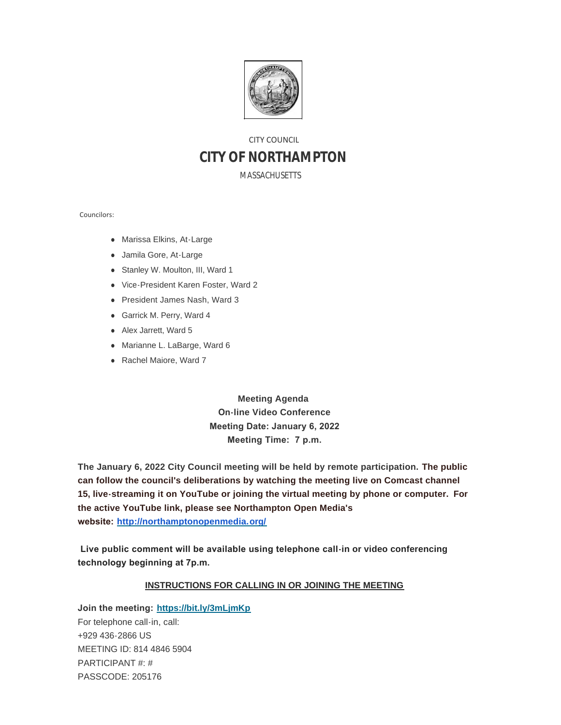

# CITY COUNCIL **CITY OF NORTHAMPTON**

MASSACHUSETTS

Councilors:

- Marissa Elkins, At-Large
- Jamila Gore, At-Large
- Stanley W. Moulton, III, Ward 1
- Vice-President Karen Foster, Ward 2
- President James Nash, Ward 3
- **Garrick M. Perry, Ward 4**
- Alex Jarrett, Ward 5
- Marianne L. LaBarge, Ward 6
- Rachel Maiore, Ward 7

**Meeting Agenda On-line Video Conference Meeting Date: January 6, 2022 Meeting Time: 7 p.m.**

**The January 6, 2022 City Council meeting will be held by remote participation. The public can follow the council's deliberations by watching the meeting live on Comcast channel 15, live-streaming it on YouTube or joining the virtual meeting by phone or computer. For the active YouTube link, please see Northampton Open Media's website: <http://northamptonopenmedia.org/>**

 **Live public comment will be available using telephone call-in or video conferencing technology beginning at 7p.m.** 

#### **INSTRUCTIONS FOR CALLING IN OR JOINING THE MEETING**

**Join the meeting: <https://bit.ly/3mLjmKp>** For telephone call-in, call: +929 436-2866 US MEETING ID: 814 4846 5904 PARTICIPANT #: # PASSCODE: 205176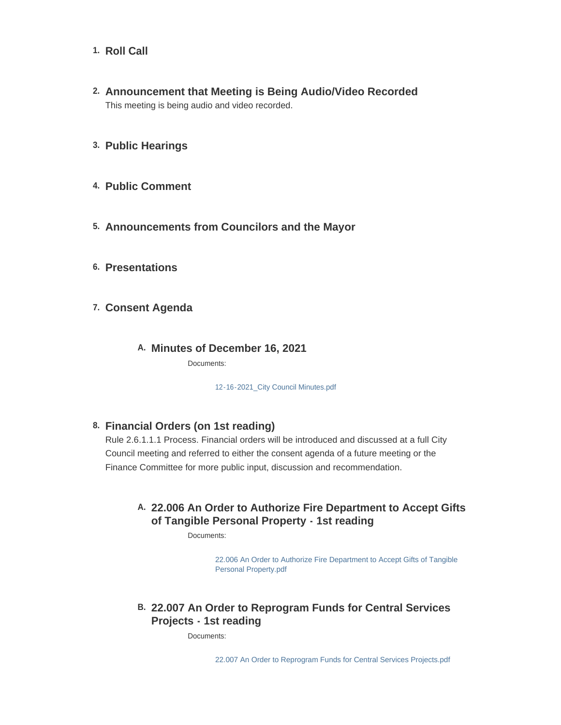- 1. Roll Call
- **Announcement that Meeting is Being Audio/Video Recorded 2.** This meeting is being audio and video recorded.
- **Public Hearings 3.**
- **Public Comment 4.**
- **Announcements from Councilors and the Mayor 5.**
- **Presentations 6.**
- **Consent Agenda 7.**
	- **Minutes of December 16, 2021 A.**

Documents:

[12-16-2021\\_City Council Minutes.pdf](https://northamptonma.gov/AgendaCenter/ViewFile/Item/18213?fileID=159733)

#### **Financial Orders (on 1st reading) 8.**

Rule 2.6.1.1.1 Process. Financial orders will be introduced and discussed at a full City Council meeting and referred to either the consent agenda of a future meeting or the Finance Committee for more public input, discussion and recommendation.

#### **22.006 An Order to Authorize Fire Department to Accept Gifts A. of Tangible Personal Property - 1st reading**

Documents:

[22.006 An Order to Authorize Fire Department to Accept Gifts of Tangible](https://northamptonma.gov/AgendaCenter/ViewFile/Item/18194?fileID=159383)  Personal Property.pdf

## **22.007 An Order to Reprogram Funds for Central Services B. Projects - 1st reading**

Documents: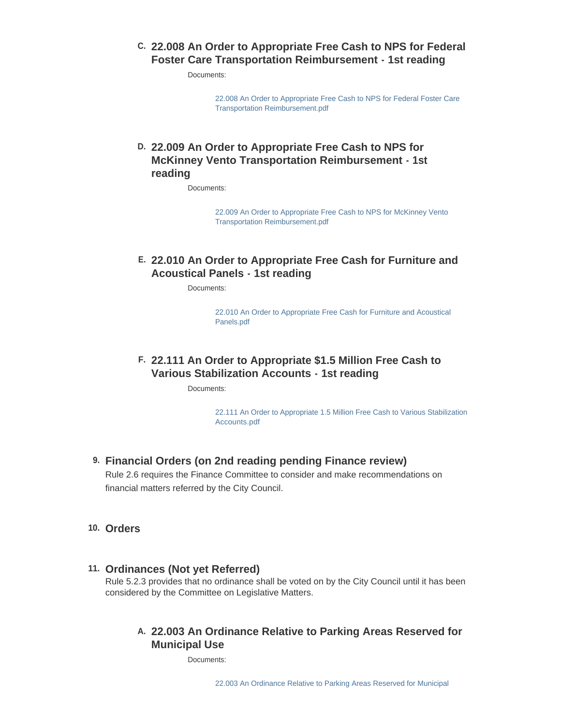#### **22.008 An Order to Appropriate Free Cash to NPS for Federal C. Foster Care Transportation Reimbursement - 1st reading**

Documents:

[22.008 An Order to Appropriate Free Cash to NPS for Federal Foster Care](https://northamptonma.gov/AgendaCenter/ViewFile/Item/18198?fileID=159387)  Transportation Reimbursement.pdf

### **22.009 An Order to Appropriate Free Cash to NPS for D. McKinney Vento Transportation Reimbursement - 1st reading**

Documents:

[22.009 An Order to Appropriate Free Cash to NPS for McKinney Vento](https://northamptonma.gov/AgendaCenter/ViewFile/Item/18200?fileID=159389)  Transportation Reimbursement.pdf

### **22.010 An Order to Appropriate Free Cash for Furniture and E. Acoustical Panels - 1st reading**

Documents:

[22.010 An Order to Appropriate Free Cash for Furniture and Acoustical](https://northamptonma.gov/AgendaCenter/ViewFile/Item/18202?fileID=159391)  Panels.pdf

### **22.111 An Order to Appropriate \$1.5 Million Free Cash to F. Various Stabilization Accounts - 1st reading**

Documents:

[22.111 An Order to Appropriate 1.5 Million Free Cash to Various Stabilization](https://northamptonma.gov/AgendaCenter/ViewFile/Item/18204?fileID=159393)  Accounts.pdf

#### **Financial Orders (on 2nd reading pending Finance review) 9.**

Rule 2.6 requires the Finance Committee to consider and make recommendations on financial matters referred by the City Council.

#### **Orders 10.**

#### **Ordinances (Not yet Referred) 11.**

Rule 5.2.3 provides that no ordinance shall be voted on by the City Council until it has been considered by the Committee on Legislative Matters.

#### **22.003 An Ordinance Relative to Parking Areas Reserved for A. Municipal Use**

Documents: